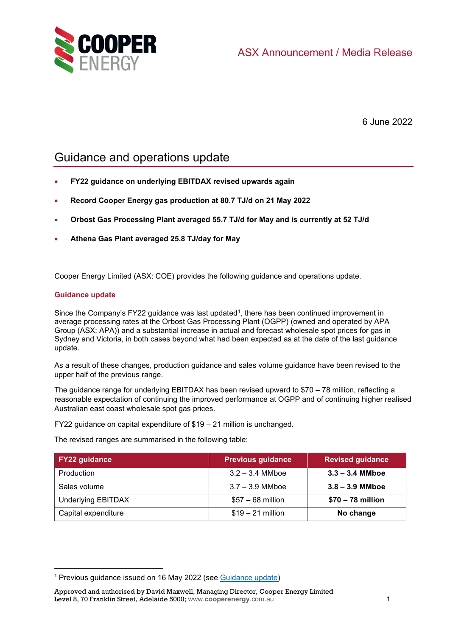

6 June 2022

# Guidance and operations update

- **FY22 guidance on underlying EBITDAX revised upwards again**
- **Record Cooper Energy gas production at 80.7 TJ/d on 21 May 2022**
- **Orbost Gas Processing Plant averaged 55.7 TJ/d for May and is currently at 52 TJ/d**
- **Athena Gas Plant averaged 25.8 TJ/day for May**

Cooper Energy Limited (ASX: COE) provides the following guidance and operations update.

# **Guidance update**

Since the Company's FY22 guidance was last updated<sup>[1](#page-0-0)</sup>, there has been continued improvement in average processing rates at the Orbost Gas Processing Plant (OGPP) (owned and operated by APA Group (ASX: APA)) and a substantial increase in actual and forecast wholesale spot prices for gas in Sydney and Victoria, in both cases beyond what had been expected as at the date of the last guidance update.

As a result of these changes, production guidance and sales volume guidance have been revised to the upper half of the previous range.

The guidance range for underlying EBITDAX has been revised upward to \$70 – 78 million, reflecting a reasonable expectation of continuing the improved performance at OGPP and of continuing higher realised Australian east coast wholesale spot gas prices.

FY22 guidance on capital expenditure of \$19 – 21 million is unchanged.

The revised ranges are summarised in the following table:

| <b>FY22 guidance</b>      | <b>Previous guidance</b> | <b>Revised guidance</b> |
|---------------------------|--------------------------|-------------------------|
| Production                | $3.2 - 3.4$ MMboe        | $3.3 - 3.4$ MMboe       |
| Sales volume              | $3.7 - 3.9$ MMboe        | $3.8 - 3.9$ MMboe       |
| <b>Underlying EBITDAX</b> | $$57 - 68$ million       | $$70 - 78$ million      |
| Capital expenditure       | $$19 - 21$ million       | No change               |

<span id="page-0-0"></span><sup>&</sup>lt;sup>1</sup> Previous guidance issued on 16 May 2022 (see [Guidance update\)](https://www.cooperenergy.com.au/Upload/Documents/AnnouncementsItem/2022.05.16-ASX-release---Guidance-update.pdf)

Approved and authorised by David Maxwell, Managing Director, Cooper Energy Limited Level 8, 70 Franklin Street, Adelaide 5000; www.**cooperenergy**.com.au 1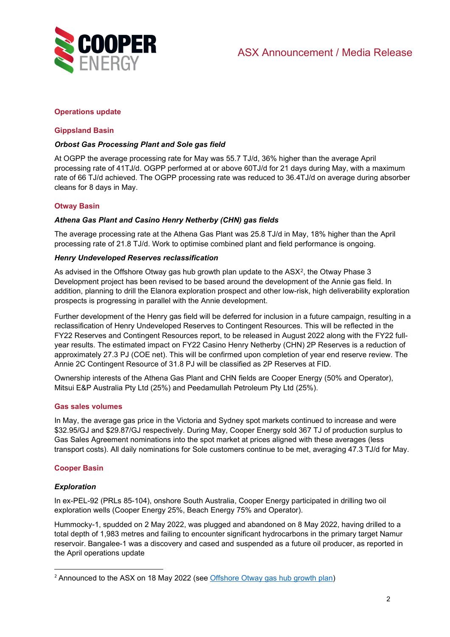

# **Operations update**

# **Gippsland Basin**

### *Orbost Gas Processing Plant and Sole gas field*

At OGPP the average processing rate for May was 55.7 TJ/d, 36% higher than the average April processing rate of 41TJ/d. OGPP performed at or above 60TJ/d for 21 days during May, with a maximum rate of 66 TJ/d achieved. The OGPP processing rate was reduced to 36.4TJ/d on average during absorber cleans for 8 days in May.

# **Otway Basin**

#### *Athena Gas Plant and Casino Henry Netherby (CHN) gas fields*

The average processing rate at the Athena Gas Plant was 25.8 TJ/d in May, 18% higher than the April processing rate of 21.8 TJ/d. Work to optimise combined plant and field performance is ongoing.

#### *Henry Undeveloped Reserves reclassification*

As advised in the Offshore Otway gas hub growth plan update to the ASX[2](#page-1-0), the Otway Phase 3 Development project has been revised to be based around the development of the Annie gas field. In addition, planning to drill the Elanora exploration prospect and other low-risk, high deliverability exploration prospects is progressing in parallel with the Annie development.

Further development of the Henry gas field will be deferred for inclusion in a future campaign, resulting in a reclassification of Henry Undeveloped Reserves to Contingent Resources. This will be reflected in the FY22 Reserves and Contingent Resources report, to be released in August 2022 along with the FY22 fullyear results. The estimated impact on FY22 Casino Henry Netherby (CHN) 2P Reserves is a reduction of approximately 27.3 PJ (COE net). This will be confirmed upon completion of year end reserve review. The Annie 2C Contingent Resource of 31.8 PJ will be classified as 2P Reserves at FID.

Ownership interests of the Athena Gas Plant and CHN fields are Cooper Energy (50% and Operator), Mitsui E&P Australia Pty Ltd (25%) and Peedamullah Petroleum Pty Ltd (25%).

#### **Gas sales volumes**

In May, the average gas price in the Victoria and Sydney spot markets continued to increase and were \$32.95/GJ and \$29.87/GJ respectively. During May, Cooper Energy sold 367 TJ of production surplus to Gas Sales Agreement nominations into the spot market at prices aligned with these averages (less transport costs). All daily nominations for Sole customers continue to be met, averaging 47.3 TJ/d for May.

# **Cooper Basin**

#### *Exploration*

In ex-PEL-92 (PRLs 85-104), onshore South Australia, Cooper Energy participated in drilling two oil exploration wells (Cooper Energy 25%, Beach Energy 75% and Operator).

Hummocky-1, spudded on 2 May 2022, was plugged and abandoned on 8 May 2022, having drilled to a total depth of 1,983 metres and failing to encounter significant hydrocarbons in the primary target Namur reservoir. Bangalee-1 was a discovery and cased and suspended as a future oil producer, as reported in the April operations update

<span id="page-1-0"></span><sup>2</sup> Announced to the ASX on 18 May 2022 (see [Offshore Otway gas hub growth plan\)](https://www.cooperenergy.com.au/Upload/Documents/AnnouncementsItem/2022.05.18-Offshore-Otway-gas-hub-growth-plan.pdf)